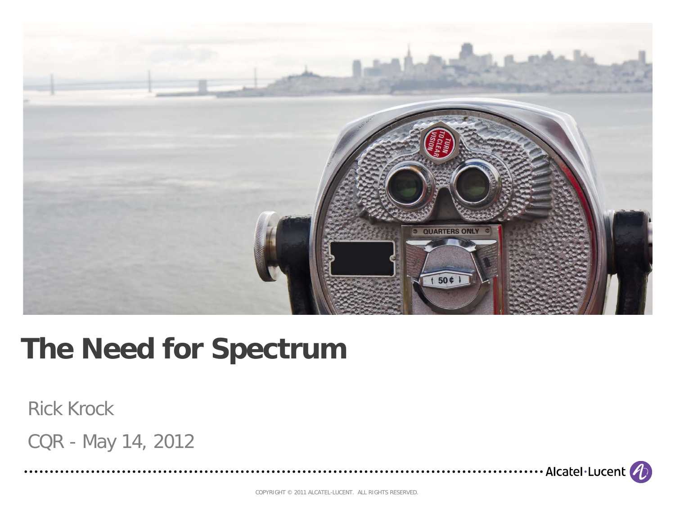

## **The Need for Spectrum**

#### Rick Krock

CQR - May 14, 2012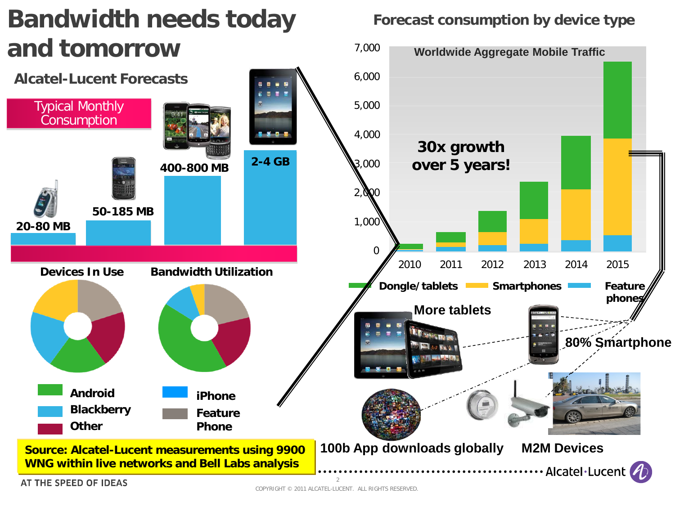

$$
\bm{\psi}
$$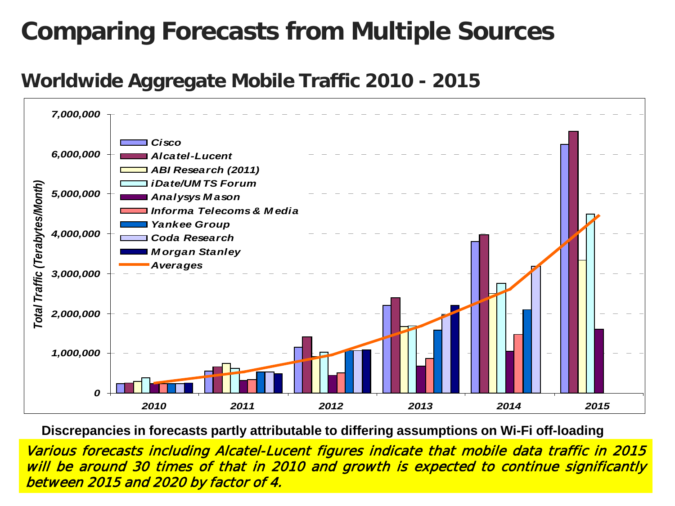### **Comparing Forecasts from Multiple Sources**

### **Worldwide Aggregate Mobile Traffic 2010 - 2015**



 **Discrepancies in forecasts partly attributable to differing assumptions on Wi-Fi off-loading**

COPYRIGHT  $\sim$  2011 ALCATEL-LUCENT. ALL RIGHTS RESERVED. ALL RIGHTS RESERVED. ALL RIGHTS RESERVED. Various forecasts including Alcatel-Lucent figures indicate that mobile data traffic in 2015 will be around 30 times of that in 2010 and growth is expected to continue significantly between 2015 and 2020 by factor of 4.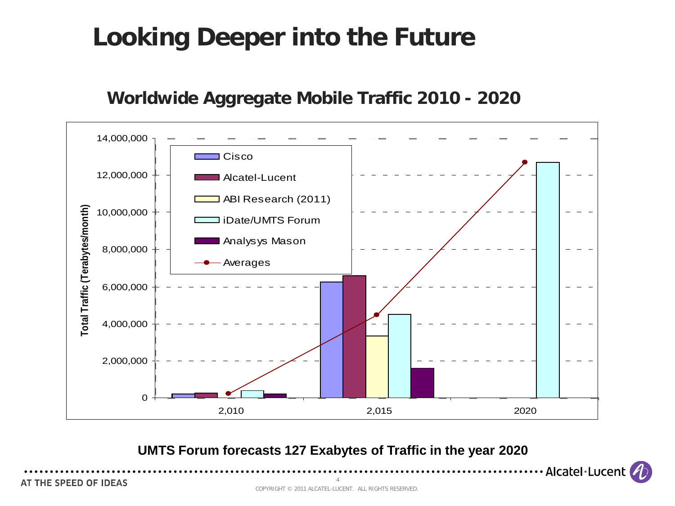## **Looking Deeper into the Future**

#### **Worldwide Aggregate Mobile Traffic 2010 - <sup>2020</sup>**



**UMTS Forum forecasts 127 Exabytes of Traffic in the year 2020**

AT THE SPEED OF IDEAS

· Alcatel·Lucent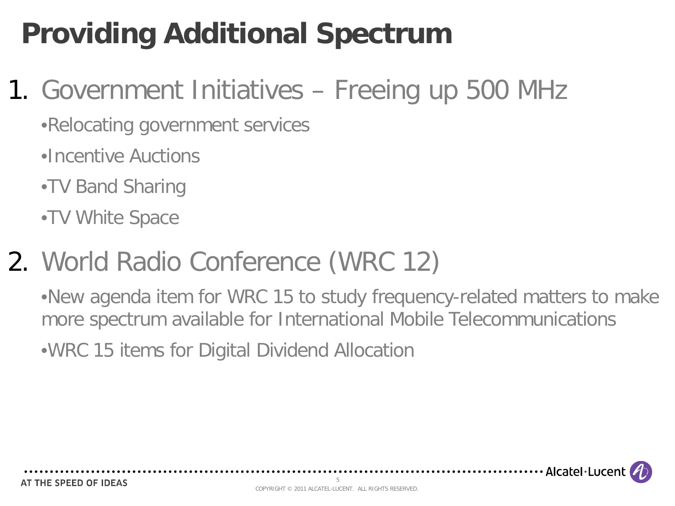# **Providing Additional Spectrum**

## 1. Government Initiatives – Freeing up 500 MHz

•Relocating government services

. . . . . . . . . . . . . . . . .

•Incentive Auctions

- •TV Band Sharing
- •TV White Space

# 2. World Radio Conference (WRC 12)

•New agenda item for WRC 15 to study frequency-related matters to make more spectrum available for International Mobile Telecommunications

•WRC 15 items for Digital Dividend Allocation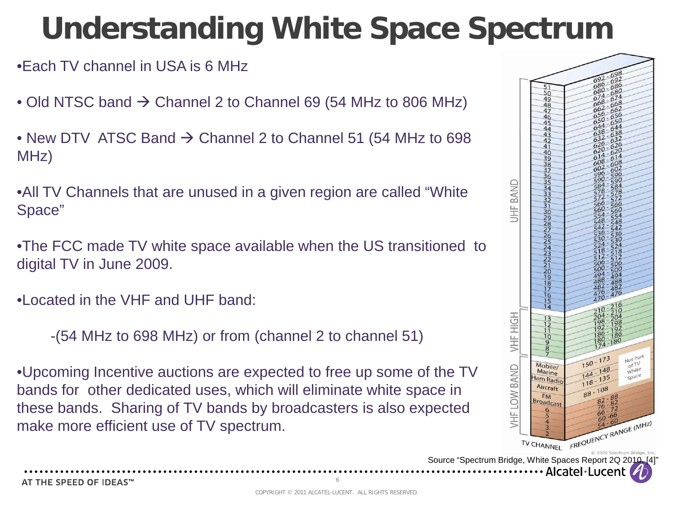# **Understanding White Space Spectrum**

•Each TV channel in USA is 6 MHz

• Old NTSC band  $\rightarrow$  Channel 2 to Channel 69 (54 MHz to 806 MHz)

• New DTV ATSC Band  $\rightarrow$  Channel 2 to Channel 51 (54 MHz to 698 MHz)

•All TV Channels that are unused in a given region are called "White Space"

•The FCC made TV white space available when the US transitioned to digital TV in June 2009.

•Located in the VHF and UHF band:

-(54 MHz to 698 MHz) or from (channel 2 to channel 51)

•Upcoming Incentive auctions are expected to free up some of the TV bands for other dedicated uses, which will eliminate white space in these bands. Sharing of TV bands by broadcasters is also expected make more efficient use of TV spectrum.



Alcatel·Lucent

AT THE SPEED OF IDEAS™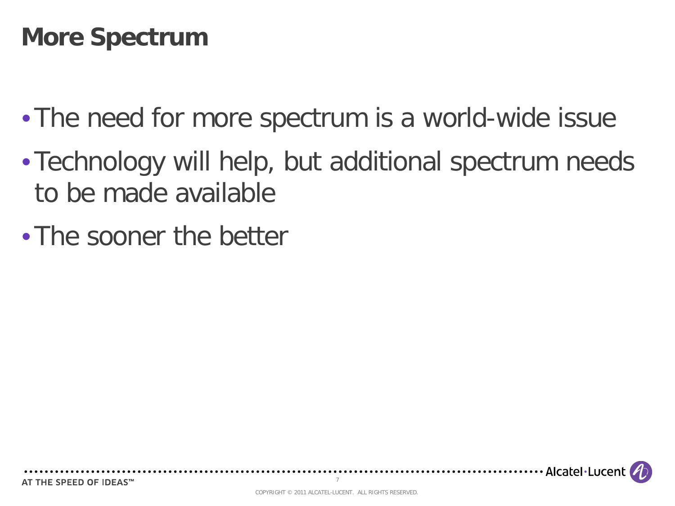### **More Spectrum**

- The need for more spectrum is a world-wide issue
- •Technology will help, but additional spectrum needs to be made available
- •The sooner the better